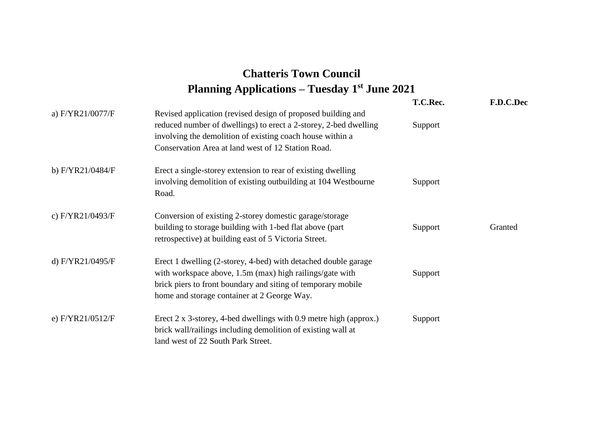## **Chatteris Town Council Planning Applications – Tuesday 1st June 2021**

|                    |                                                                                                                                                                                                                                                     | T.C.Rec. | F.D.C.Dec |
|--------------------|-----------------------------------------------------------------------------------------------------------------------------------------------------------------------------------------------------------------------------------------------------|----------|-----------|
| a) F/YR21/0077/F   | Revised application (revised design of proposed building and<br>reduced number of dwellings) to erect a 2-storey, 2-bed dwelling<br>involving the demolition of existing coach house within a<br>Conservation Area at land west of 12 Station Road. | Support  |           |
| b) F/YR21/0484/F   | Erect a single-storey extension to rear of existing dwelling<br>involving demolition of existing outbuilding at 104 Westbourne<br>Road.                                                                                                             | Support  |           |
| c) F/YR21/0493/F   | Conversion of existing 2-storey domestic garage/storage<br>building to storage building with 1-bed flat above (part)<br>retrospective) at building east of 5 Victoria Street.                                                                       | Support  | Granted   |
| d) F/YR21/0495/F   | Erect 1 dwelling (2-storey, 4-bed) with detached double garage<br>with workspace above, 1.5m (max) high railings/gate with<br>brick piers to front boundary and siting of temporary mobile<br>home and storage container at 2 George Way.           | Support  |           |
| e) $F/YR21/0512/F$ | Erect 2 x 3-storey, 4-bed dwellings with 0.9 metre high (approx.)<br>brick wall/railings including demolition of existing wall at<br>land west of 22 South Park Street.                                                                             | Support  |           |